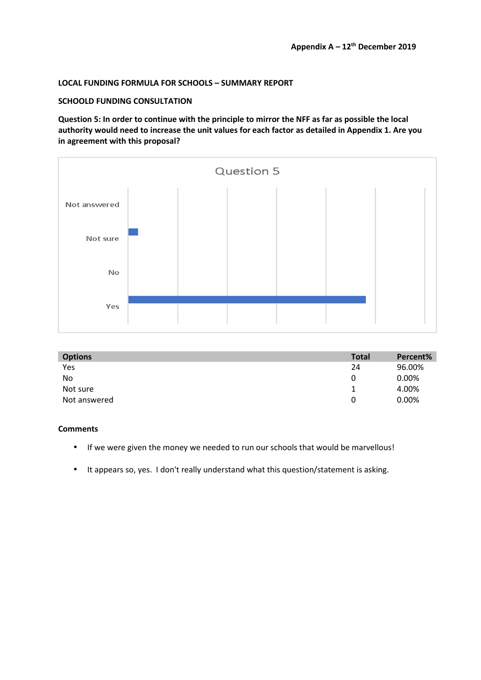# **LOCAL FUNDING FORMULA FOR SCHOOLS – SUMMARY REPORT**

### **SCHOOLD FUNDING CONSULTATION**

**Question 5: In order to continue with the principle to mirror the NFF as far as possible the local authority would need to increase the unit values for each factor as detailed in Appendix 1. Are you in agreement with this proposal?** 



| <b>Options</b> | <b>Total</b> | Percent% |
|----------------|--------------|----------|
| Yes            | 24           | 96.00%   |
| <b>No</b>      | 0            | 0.00%    |
| Not sure       | ᅩ            | 4.00%    |
| Not answered   | 0            | 0.00%    |

### **Comments**

- If we were given the money we needed to run our schools that would be marvellous!
- It appears so, yes. I don't really understand what this question/statement is asking.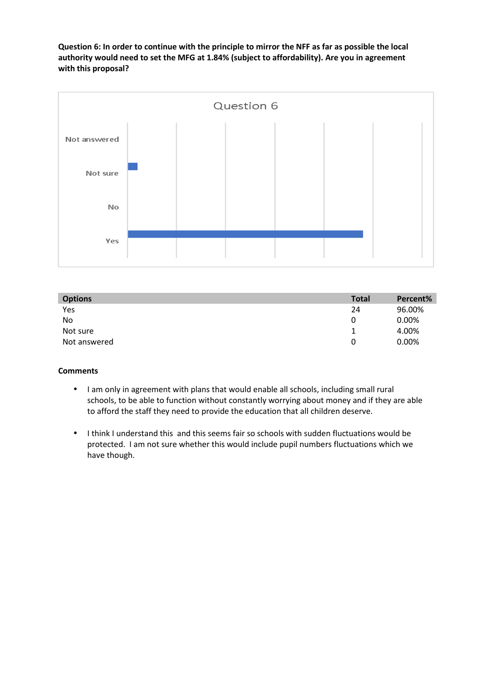**Question 6: In order to continue with the principle to mirror the NFF as far as possible the local authority would need to set the MFG at 1.84% (subject to affordability). Are you in agreement with this proposal?** 



| <b>Options</b> | <b>Total</b> | Percent% |
|----------------|--------------|----------|
| Yes            | 24           | 96.00%   |
| <b>No</b>      |              | 0.00%    |
| Not sure       |              | 4.00%    |
| Not answered   | 0            | 0.00%    |

## **Comments**

- I am only in agreement with plans that would enable all schools, including small rural schools, to be able to function without constantly worrying about money and if they are able to afford the staff they need to provide the education that all children deserve.
- I think I understand this and this seems fair so schools with sudden fluctuations would be protected. I am not sure whether this would include pupil numbers fluctuations which we have though.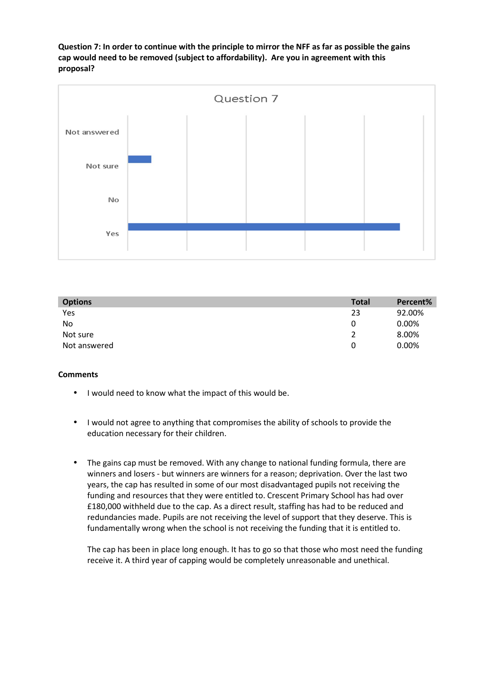**Question 7: In order to continue with the principle to mirror the NFF as far as possible the gains cap would need to be removed (subject to affordability). Are you in agreement with this proposal?** 



| <b>Options</b> | <b>Total</b> | Percent% |
|----------------|--------------|----------|
| Yes            | 23           | 92.00%   |
| No             | 0            | 0.00%    |
| Not sure       |              | 8.00%    |
| Not answered   | 0            | 0.00%    |

### **Comments**

- I would need to know what the impact of this would be.
- I would not agree to anything that compromises the ability of schools to provide the education necessary for their children.
- The gains cap must be removed. With any change to national funding formula, there are winners and losers - but winners are winners for a reason; deprivation. Over the last two years, the cap has resulted in some of our most disadvantaged pupils not receiving the funding and resources that they were entitled to. Crescent Primary School has had over £180,000 withheld due to the cap. As a direct result, staffing has had to be reduced and redundancies made. Pupils are not receiving the level of support that they deserve. This is fundamentally wrong when the school is not receiving the funding that it is entitled to.

The cap has been in place long enough. It has to go so that those who most need the funding receive it. A third year of capping would be completely unreasonable and unethical.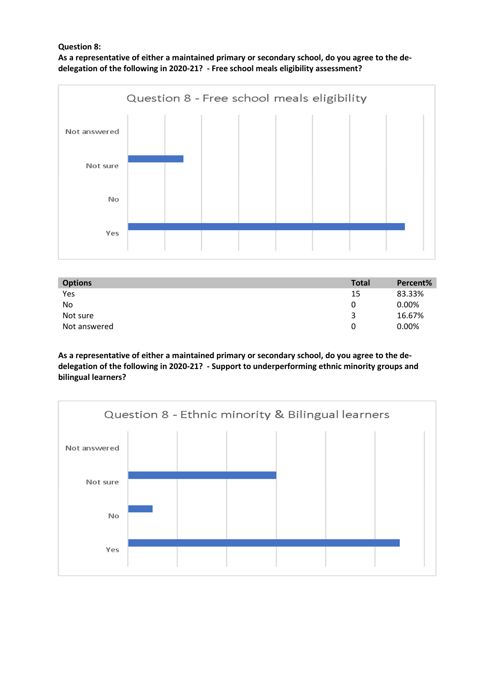# **Question 8:**

**As a representative of either a maintained primary or secondary school, do you agree to the dedelegation of the following in 2020-21? - Free school meals eligibility assessment?** 



| <b>Options</b> | <b>Total</b> | Percent% |
|----------------|--------------|----------|
| Yes            | 15           | 83.33%   |
| <b>No</b>      | 0            | 0.00%    |
| Not sure       | 3            | 16.67%   |
| Not answered   | 0            | 0.00%    |

**As a representative of either a maintained primary or secondary school, do you agree to the dedelegation of the following in 2020-21? - Support to underperforming ethnic minority groups and bilingual learners?** 

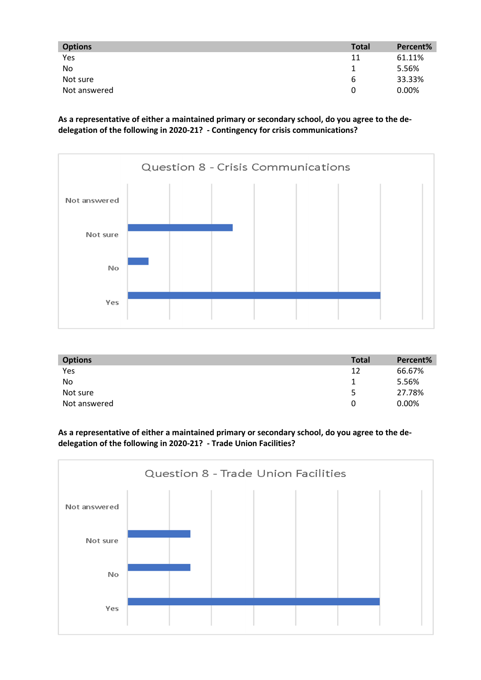| <b>Options</b> | <b>Total</b> | Percent% |
|----------------|--------------|----------|
| Yes            | 11           | 61.11%   |
| No             |              | 5.56%    |
| Not sure       | ь            | 33.33%   |
| Not answered   | O            | 0.00%    |

**As a representative of either a maintained primary or secondary school, do you agree to the dedelegation of the following in 2020-21? - Contingency for crisis communications?** 



| <b>Options</b> | <b>Total</b> | Percent% |
|----------------|--------------|----------|
| Yes            | 12           | 66.67%   |
| <b>No</b>      |              | 5.56%    |
| Not sure       | 5            | 27.78%   |
| Not answered   |              | 0.00%    |

**As a representative of either a maintained primary or secondary school, do you agree to the dedelegation of the following in 2020-21? - Trade Union Facilities?**